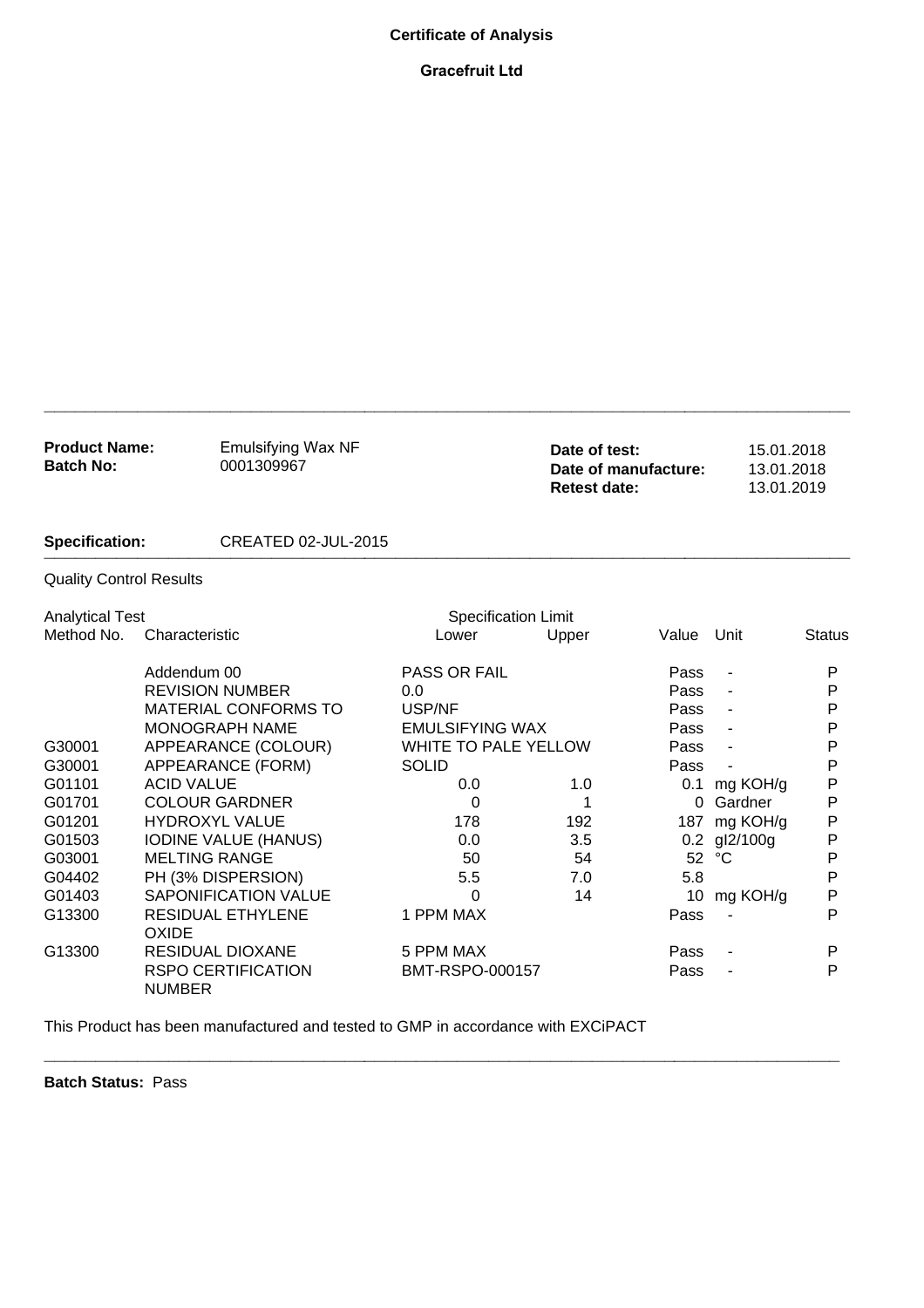## **Certificate of Analysis**

## **Gracefruit Ltd**

| <b>Product Name:</b><br><b>Batch No:</b> | <b>Emulsifying Wax NF</b><br>0001309967    |                             | Date of test:<br>Date of manufacture:<br><b>Retest date:</b> |          |              | 15.01.2018<br>13.01.2018<br>13.01.2019 |  |
|------------------------------------------|--------------------------------------------|-----------------------------|--------------------------------------------------------------|----------|--------------|----------------------------------------|--|
| <b>Specification:</b>                    |                                            | CREATED 02-JUL-2015         |                                                              |          |              |                                        |  |
| <b>Quality Control Results</b>           |                                            |                             |                                                              |          |              |                                        |  |
| <b>Analytical Test</b>                   |                                            | <b>Specification Limit</b>  |                                                              |          |              |                                        |  |
| Method No.                               | Characteristic                             | Lower                       | Upper                                                        | Value    | Unit         | <b>Status</b>                          |  |
|                                          | Addendum 00                                | PASS OR FAIL                |                                                              | Pass     |              | P                                      |  |
|                                          | <b>REVISION NUMBER</b>                     | 0.0                         |                                                              | Pass     |              | P                                      |  |
|                                          | <b>MATERIAL CONFORMS TO</b>                | USP/NF                      |                                                              | Pass     |              | P                                      |  |
|                                          | <b>MONOGRAPH NAME</b>                      | <b>EMULSIFYING WAX</b>      |                                                              | Pass     |              | P                                      |  |
| G30001                                   | APPEARANCE (COLOUR)                        | <b>WHITE TO PALE YELLOW</b> |                                                              | Pass     |              | P                                      |  |
| G30001                                   | APPEARANCE (FORM)                          | <b>SOLID</b>                |                                                              | Pass     |              | P                                      |  |
| G01101                                   | <b>ACID VALUE</b>                          | 0.0                         | 1.0                                                          | 0.1      | mg KOH/g     | P                                      |  |
| G01701                                   | <b>COLOUR GARDNER</b>                      | $\Omega$                    | 1                                                            | $\Omega$ | Gardner      | Р                                      |  |
| G01201                                   | <b>HYDROXYL VALUE</b>                      | 178                         | 192                                                          | 187      | mg KOH/g     | P                                      |  |
| G01503                                   | <b>IODINE VALUE (HANUS)</b>                | 0.0                         | 3.5                                                          |          | 0.2 gl2/100g | P                                      |  |
| G03001                                   | <b>MELTING RANGE</b>                       | 50                          | 54                                                           | 52       | °C           | P                                      |  |
| G04402                                   | PH (3% DISPERSION)                         | 5.5                         | 7.0                                                          | 5.8      |              | P                                      |  |
| G01403                                   | <b>SAPONIFICATION VALUE</b>                | 0                           | 14                                                           | 10       | mg KOH/g     | P                                      |  |
| G13300                                   | <b>RESIDUAL ETHYLENE</b><br><b>OXIDE</b>   | 1 PPM MAX                   |                                                              | Pass     |              | P                                      |  |
| G13300                                   | <b>RESIDUAL DIOXANE</b>                    | 5 PPM MAX                   |                                                              | Pass     |              | P                                      |  |
|                                          | <b>RSPO CERTIFICATION</b><br><b>NUMBER</b> | BMT-RSPO-000157             |                                                              | Pass     |              | P                                      |  |

**\_\_\_\_\_\_\_\_\_\_\_\_\_\_\_\_\_\_\_\_\_\_\_\_\_\_\_\_\_\_\_\_\_\_\_\_\_\_\_\_\_\_\_\_\_\_\_\_\_\_\_\_\_\_\_\_\_\_\_\_\_\_\_\_\_\_\_\_\_\_\_\_\_\_\_\_\_**

**\_\_\_\_\_\_\_\_\_\_\_\_\_\_\_\_\_\_\_\_\_\_\_\_\_\_\_\_\_\_\_\_\_\_\_\_\_\_\_\_\_\_\_\_\_\_\_\_\_\_\_\_\_\_\_\_\_\_\_\_\_\_\_\_\_\_\_\_\_\_\_\_\_\_\_\_\_\_**

This Product has been manufactured and tested to GMP in accordance with EXCiPACT

**Batch Status:** Pass